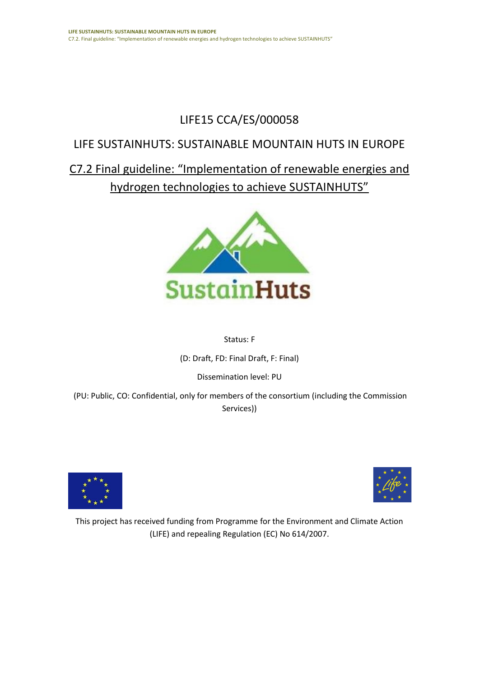## LIFE15 CCA/ES/000058

### LIFE SUSTAINHUTS: SUSTAINABLE MOUNTAIN HUTS IN EUROPE

C7.2 Final guideline: "Implementation of renewable energies and hydrogen technologies to achieve SUSTAINHUTS"



#### Status: F

(D: Draft, FD: Final Draft, F: Final)

Dissemination level: PU

(PU: Public, CO: Confidential, only for members of the consortium (including the Commission Services))





This project has received funding from Programme for the Environment and Climate Action (LIFE) and repealing Regulation (EC) No 614/2007.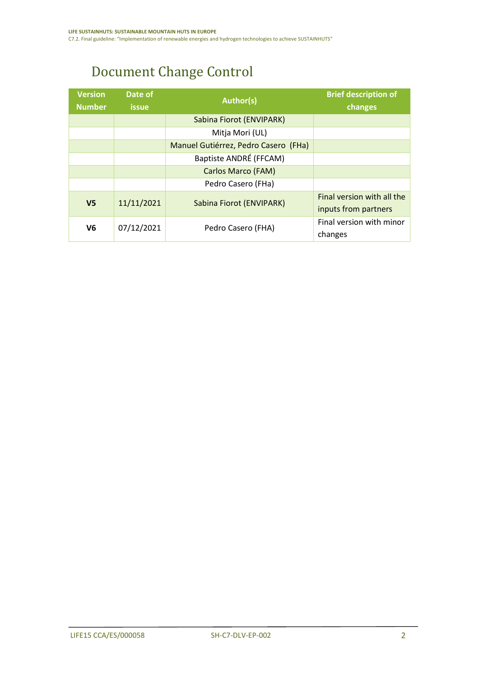## Document Change Control

| <b>Version</b><br><b>Number</b> | Date of<br><b>issue</b> | <b>Author(s)</b>                     | <b>Brief description of</b><br>changes |
|---------------------------------|-------------------------|--------------------------------------|----------------------------------------|
|                                 |                         | Sabina Fiorot (ENVIPARK)             |                                        |
|                                 |                         | Mitja Mori (UL)                      |                                        |
|                                 |                         | Manuel Gutiérrez, Pedro Casero (FHa) |                                        |
|                                 |                         | Baptiste ANDRÉ (FFCAM)               |                                        |
|                                 |                         | <b>Carlos Marco (FAM)</b>            |                                        |
|                                 |                         | Pedro Casero (FHa)                   |                                        |
| V <sub>5</sub>                  | 11/11/2021              | Sabina Fiorot (ENVIPARK)             | Final version with all the             |
|                                 |                         |                                      | inputs from partners                   |
| 07/12/2021<br>V6                |                         | Pedro Casero (FHA)                   | Final version with minor               |
|                                 |                         |                                      | changes                                |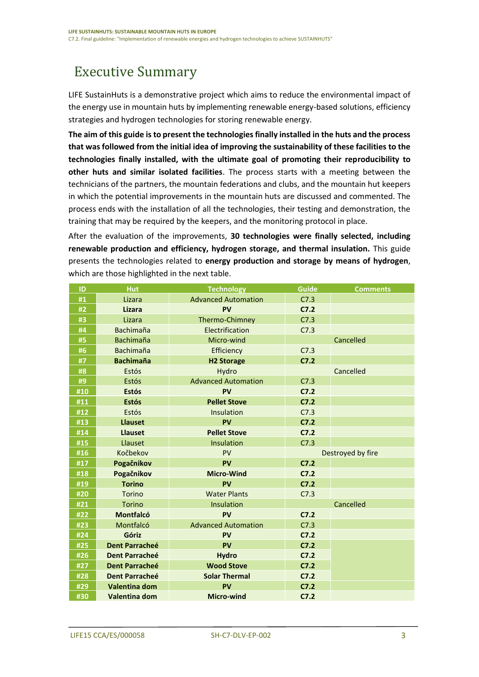## <span id="page-2-0"></span>Executive Summary

LIFE SustainHuts is a demonstrative project which aims to reduce the environmental impact of the energy use in mountain huts by implementing renewable energy-based solutions, efficiency strategies and hydrogen technologies for storing renewable energy.

**The aim of this guide is to present the technologies finally installed in the huts and the process that was followed from the initial idea of improving the sustainability of these facilities to the technologies finally installed, with the ultimate goal of promoting their reproducibility to other huts and similar isolated facilities**. The process starts with a meeting between the technicians of the partners, the mountain federations and clubs, and the mountain hut keepers in which the potential improvements in the mountain huts are discussed and commented. The process ends with the installation of all the technologies, their testing and demonstration, the training that may be required by the keepers, and the monitoring protocol in place.

After the evaluation of the improvements, **30 technologies were finally selected, including renewable production and efficiency, hydrogen storage, and thermal insulation.** This guide presents the technologies related to **energy production and storage by means of hydrogen**, which are those highlighted in the next table.

| ID  | <b>Hut</b>            | <b>Technology</b>          | <b>Guide</b>      | <b>Comments</b> |
|-----|-----------------------|----------------------------|-------------------|-----------------|
| #1  | Lizara                | <b>Advanced Automation</b> | C7.3              |                 |
| #2  | Lizara                | PV                         | C7.2              |                 |
| #3  | Lizara                | Thermo-Chimney             | C7.3              |                 |
| #4  | <b>Bachimaña</b>      | Electrification            | C7.3              |                 |
| #5  | <b>Bachimaña</b>      | Micro-wind                 |                   | Cancelled       |
| #6  | <b>Bachimaña</b>      | Efficiency                 | C7.3              |                 |
| #7  | <b>Bachimaña</b>      | <b>H2 Storage</b>          | C7.2              |                 |
| #8  | Estós                 | Hydro                      |                   | Cancelled       |
| #9  | Estós                 | <b>Advanced Automation</b> | C7.3              |                 |
| #10 | <b>Estós</b>          | <b>PV</b>                  | C7.2              |                 |
| #11 | <b>Estós</b>          | <b>Pellet Stove</b>        | C7.2              |                 |
| #12 | Estós                 | Insulation                 | C7.3              |                 |
| #13 | <b>Llauset</b>        | PV                         | C7.2              |                 |
| #14 | <b>Llauset</b>        | <b>Pellet Stove</b>        | C7.2              |                 |
| #15 | Llauset               | Insulation                 | C7.3              |                 |
| #16 | Kočbekov              | PV                         | Destroyed by fire |                 |
| #17 | Pogačnikov            | PV                         | C7.2              |                 |
| #18 | Pogačnikov            | <b>Micro-Wind</b>          | C7.2              |                 |
| #19 | <b>Torino</b>         | PV                         | C7.2              |                 |
| #20 | Torino                | <b>Water Plants</b>        | C7.3              |                 |
| #21 | Torino                | Insulation                 |                   | Cancelled       |
| #22 | <b>Montfalcó</b>      | <b>PV</b>                  | C7.2              |                 |
| #23 | Montfalcó             | <b>Advanced Automation</b> | C7.3              |                 |
| #24 | Góriz                 | <b>PV</b>                  | C7.2              |                 |
| #25 | <b>Dent Parracheé</b> | PV                         | C7.2              |                 |
| #26 | <b>Dent Parracheé</b> | <b>Hydro</b>               | C7.2              |                 |
| #27 | <b>Dent Parracheé</b> | <b>Wood Stove</b>          | C7.2              |                 |
| #28 | <b>Dent Parracheé</b> | <b>Solar Thermal</b>       | C7.2              |                 |
| #29 | Valentina dom         | PV                         | C7.2              |                 |
| #30 | Valentina dom         | <b>Micro-wind</b>          | C7.2              |                 |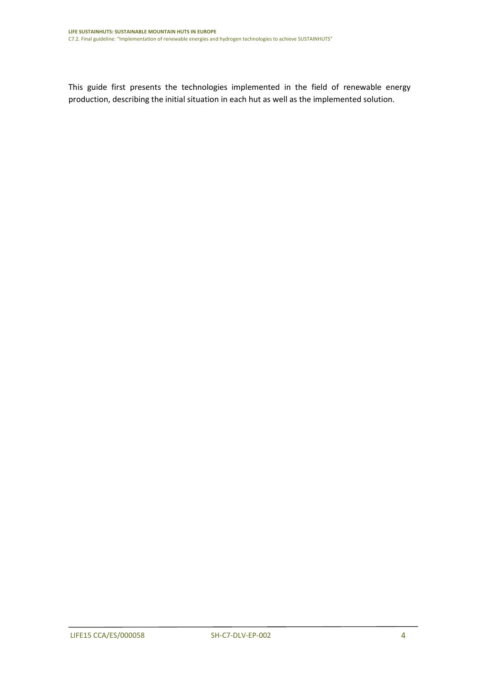This guide first presents the technologies implemented in the field of renewable energy production, describing the initial situation in each hut as well as the implemented solution.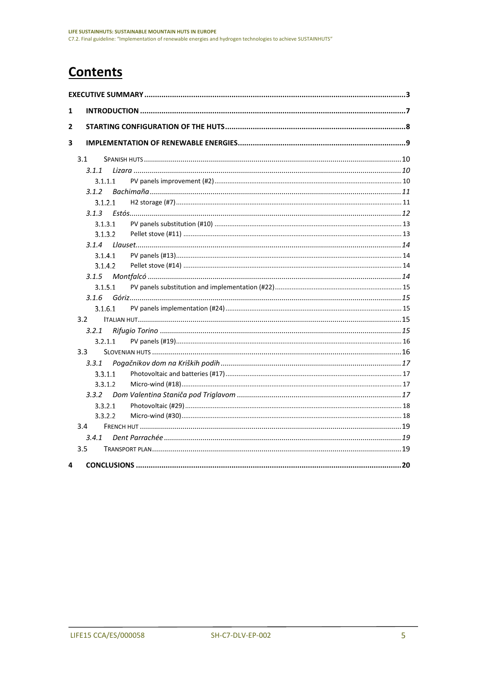## **Contents**

| 1 |       |         |  |
|---|-------|---------|--|
| 2 |       |         |  |
| 3 |       |         |  |
|   | 3.1   |         |  |
|   | 3.1.1 |         |  |
|   |       | 3.1.1.1 |  |
|   | 3.1.2 |         |  |
|   |       | 3.1.2.1 |  |
|   | 3.1.3 |         |  |
|   |       | 3.1.3.1 |  |
|   |       | 3.1.3.2 |  |
|   | 3.1.4 |         |  |
|   |       | 3.1.4.1 |  |
|   |       | 3.1.4.2 |  |
|   | 3.1.5 |         |  |
|   |       | 3.1.5.1 |  |
|   | 3.1.6 |         |  |
|   |       | 3.1.6.1 |  |
|   | 3.2   |         |  |
|   | 3.2.1 |         |  |
|   |       | 3.2.1.1 |  |
|   | 3.3   |         |  |
|   | 3.3.1 |         |  |
|   |       | 3.3.1.1 |  |
|   |       | 3.3.1.2 |  |
|   | 3.3.2 |         |  |
|   |       | 3.3.2.1 |  |
|   |       | 3.3.2.2 |  |
|   | 3.4   |         |  |
|   | 3.4.1 |         |  |
|   | 3.5   |         |  |
| 4 |       |         |  |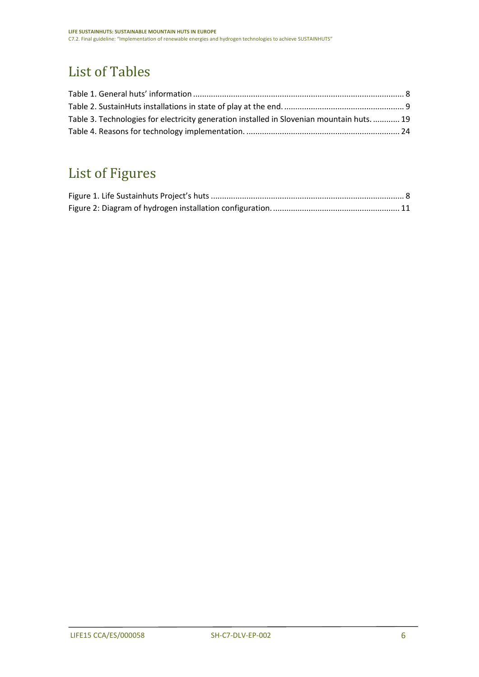## List of Tables

| Table 3. Technologies for electricity generation installed in Slovenian mountain huts.  19 |  |
|--------------------------------------------------------------------------------------------|--|
|                                                                                            |  |

# List of Figures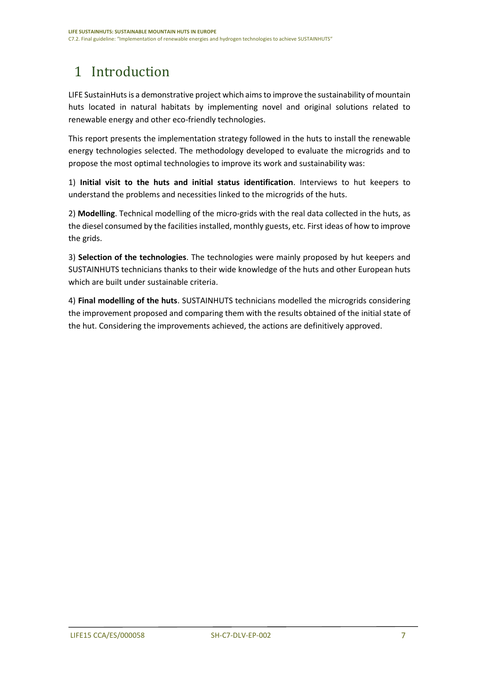# <span id="page-6-0"></span>1 Introduction

LIFE SustainHuts is a demonstrative project which aims to improve the sustainability of mountain huts located in natural habitats by implementing novel and original solutions related to renewable energy and other eco-friendly technologies.

This report presents the implementation strategy followed in the huts to install the renewable energy technologies selected. The methodology developed to evaluate the microgrids and to propose the most optimal technologies to improve its work and sustainability was:

1) **Initial visit to the huts and initial status identification**. Interviews to hut keepers to understand the problems and necessities linked to the microgrids of the huts.

2) **Modelling**. Technical modelling of the micro-grids with the real data collected in the huts, as the diesel consumed by the facilities installed, monthly guests, etc. First ideas of how to improve the grids.

3) **Selection of the technologies**. The technologies were mainly proposed by hut keepers and SUSTAINHUTS technicians thanks to their wide knowledge of the huts and other European huts which are built under sustainable criteria.

4) **Final modelling of the huts**. SUSTAINHUTS technicians modelled the microgrids considering the improvement proposed and comparing them with the results obtained of the initial state of the hut. Considering the improvements achieved, the actions are definitively approved.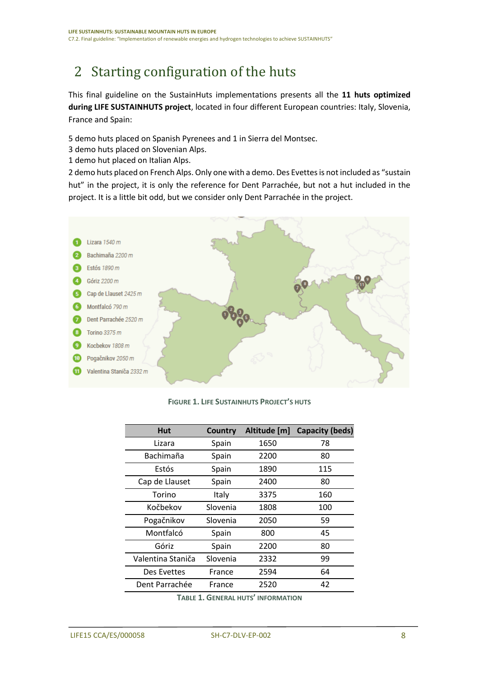## <span id="page-7-0"></span>2 Starting configuration of the huts

This final guideline on the SustainHuts implementations presents all the **11 huts optimized during LIFE SUSTAINHUTS project**, located in four different European countries: Italy, Slovenia, France and Spain:

5 demo huts placed on Spanish Pyrenees and 1 in Sierra del Montsec.

3 demo huts placed on Slovenian Alps.

1 demo hut placed on Italian Alps.

2 demo huts placed on French Alps. Only one with a demo. Des Evettes is not included as "sustain hut" in the project, it is only the reference for Dent Parrachée, but not a hut included in the project. It is a little bit odd, but we consider only Dent Parrachée in the project.



#### **FIGURE 1. LIFE SUSTAINHUTS PROJECT'S HUTS**

<span id="page-7-2"></span>

| Hut               | <b>Country</b> | Altitude [m] | <b>Capacity (beds)</b> |
|-------------------|----------------|--------------|------------------------|
| Lizara            | Spain          | 1650         | 78                     |
| Bachimaña         | Spain          | 2200         | 80                     |
| Estós             | Spain          | 1890         | 115                    |
| Cap de Llauset    | Spain          | 2400         | 80                     |
| Torino            | Italy          | 3375         | 160                    |
| Kočbekov          | Slovenia       | 1808         | 100                    |
| Pogačnikov        | Slovenia       | 2050         | 59                     |
| Montfalcó         | Spain          | 800          | 45                     |
| Góriz             | Spain          | 2200         | 80                     |
| Valentina Staniča | Slovenia       | 2332         | 99                     |
| Des Evettes       | France         | 2594         | 64                     |
| Dent Parrachée    | France         | 2520         | 42                     |
|                   |                |              |                        |

<span id="page-7-1"></span>**TABLE 1. GENERAL HUTS' INFORMATION**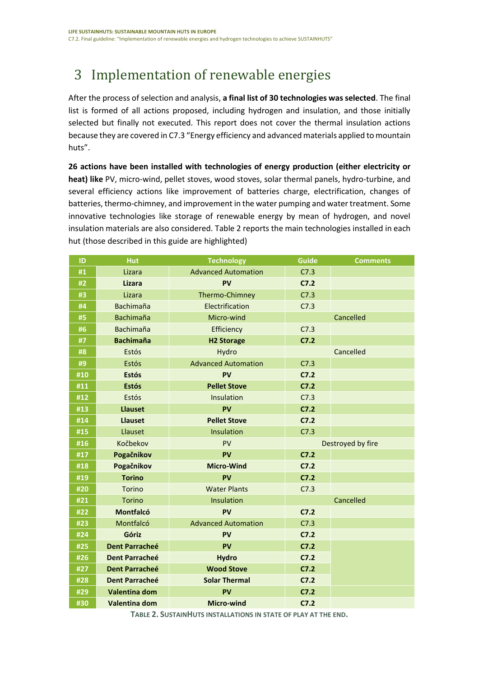# <span id="page-8-0"></span>3 Implementation of renewable energies

After the process of selection and analysis, **a final list of 30 technologies was selected**. The final list is formed of all actions proposed, including hydrogen and insulation, and those initially selected but finally not executed. This report does not cover the thermal insulation actions because they are covered in C7.3 "Energy efficiency and advanced materials applied to mountain huts".

**26 actions have been installed with technologies of energy production (either electricity or heat) like** PV, micro-wind, pellet stoves, wood stoves, solar thermal panels, hydro-turbine, and several efficiency actions like improvement of batteries charge, electrification, changes of batteries, thermo-chimney, and improvement in the water pumping and water treatment. Some innovative technologies like storage of renewable energy by mean of hydrogen, and novel insulation materials are also considered. [Table 2](#page-8-1) reports the main technologies installed in each hut (those described in this guide are highlighted)

| ID               | Hut                   | <b>Technology</b>                  | <b>Guide</b>      | <b>Comments</b> |
|------------------|-----------------------|------------------------------------|-------------------|-----------------|
| #1               | Lizara                | <b>Advanced Automation</b><br>C7.3 |                   |                 |
| #2               | <b>Lizara</b>         | PV                                 | C7.2              |                 |
| #3               | Lizara                | Thermo-Chimney                     | C7.3              |                 |
| #4               | <b>Bachimaña</b>      | Electrification                    | C7.3              |                 |
| #5               | <b>Bachimaña</b>      | Micro-wind                         |                   | Cancelled       |
| #6               | <b>Bachimaña</b>      | Efficiency                         | C7.3              |                 |
| #7               | <b>Bachimaña</b>      | <b>H2 Storage</b>                  | C7.2              |                 |
| #8               | Estós                 | Hydro                              |                   | Cancelled       |
| #9               | Estós                 | <b>Advanced Automation</b>         | C7.3              |                 |
| #10              | <b>Estós</b>          | PV                                 | C7.2              |                 |
| #11              | <b>Estós</b>          | <b>Pellet Stove</b>                | C7.2              |                 |
| #12              | Estós                 | Insulation                         | C7.3              |                 |
| #13              | <b>Llauset</b>        | PV                                 | C7.2              |                 |
| #14              | <b>Llauset</b>        | <b>Pellet Stove</b>                | C7.2              |                 |
| #15              | Llauset               | Insulation                         | C7.3              |                 |
| #16              | Kočbekov              | PV                                 | Destroyed by fire |                 |
| #17              | Pogačnikov            | PV                                 | C7.2              |                 |
| $\overline{418}$ | Pogačnikov            | <b>Micro-Wind</b>                  | C7.2              |                 |
| #19              | <b>Torino</b>         | PV                                 | C7.2              |                 |
| #20              | Torino                | <b>Water Plants</b>                | C7.3              |                 |
| #21              | <b>Torino</b>         | Insulation                         |                   | Cancelled       |
| #22              | <b>Montfalcó</b>      | PV                                 | C7.2              |                 |
| #23              | Montfalcó             | <b>Advanced Automation</b>         | C7.3              |                 |
| #24              | Góriz                 | PV                                 | C7.2              |                 |
| #25              | <b>Dent Parracheé</b> | PV                                 | C7.2              |                 |
| #26              | <b>Dent Parracheé</b> | <b>Hydro</b>                       | C7.2              |                 |
| #27              | <b>Dent Parracheé</b> | <b>Wood Stove</b>                  | C7.2              |                 |
| #28              | <b>Dent Parracheé</b> | <b>Solar Thermal</b>               | C7.2              |                 |
| #29              | <b>Valentina dom</b>  | PV                                 | C7.2              |                 |
| #30              | Valentina dom         | <b>Micro-wind</b>                  | C7.2              |                 |

<span id="page-8-1"></span>**TABLE 2. SUSTAINHUTS INSTALLATIONS IN STATE OF PLAY AT THE END.**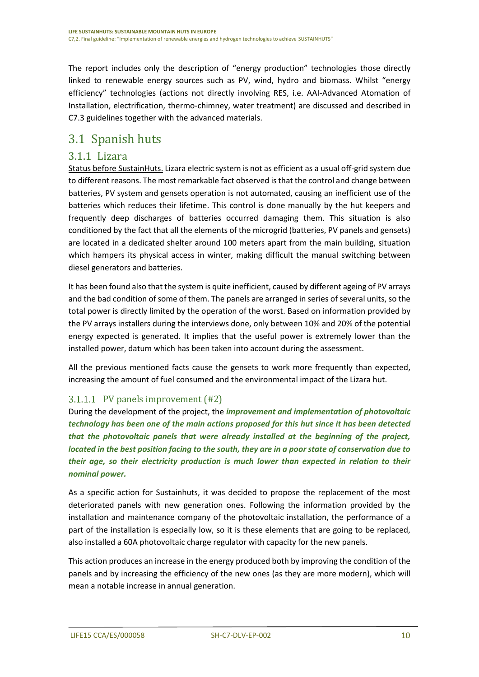The report includes only the description of "energy production" technologies those directly linked to renewable energy sources such as PV, wind, hydro and biomass. Whilst "energy efficiency" technologies (actions not directly involving RES, i.e. AAI-Advanced Atomation of Installation, electrification, thermo-chimney, water treatment) are discussed and described in C7.3 guidelines together with the advanced materials.

### <span id="page-9-0"></span>3.1 Spanish huts

#### <span id="page-9-1"></span>3.1.1 Lizara

Status before SustainHuts. Lizara electric system is not as efficient as a usual off-grid system due to different reasons. The most remarkable fact observed is that the control and change between batteries, PV system and gensets operation is not automated, causing an inefficient use of the batteries which reduces their lifetime. This control is done manually by the hut keepers and frequently deep discharges of batteries occurred damaging them. This situation is also conditioned by the fact that all the elements of the microgrid (batteries, PV panels and gensets) are located in a dedicated shelter around 100 meters apart from the main building, situation which hampers its physical access in winter, making difficult the manual switching between diesel generators and batteries.

It has been found also that the system is quite inefficient, caused by different ageing of PV arrays and the bad condition of some of them. The panels are arranged in series of several units, so the total power is directly limited by the operation of the worst. Based on information provided by the PV arrays installers during the interviews done, only between 10% and 20% of the potential energy expected is generated. It implies that the useful power is extremely lower than the installed power, datum which has been taken into account during the assessment.

All the previous mentioned facts cause the gensets to work more frequently than expected, increasing the amount of fuel consumed and the environmental impact of the Lizara hut.

#### <span id="page-9-2"></span>3.1.1.1 PV panels improvement (#2)

During the development of the project, the *improvement and implementation of photovoltaic technology has been one of the main actions proposed for this hut since it has been detected that the photovoltaic panels that were already installed at the beginning of the project, located in the best position facing to the south, they are in a poor state of conservation due to their age, so their electricity production is much lower than expected in relation to their nominal power.*

As a specific action for Sustainhuts, it was decided to propose the replacement of the most deteriorated panels with new generation ones. Following the information provided by the installation and maintenance company of the photovoltaic installation, the performance of a part of the installation is especially low, so it is these elements that are going to be replaced, also installed a 60A photovoltaic charge regulator with capacity for the new panels.

This action produces an increase in the energy produced both by improving the condition of the panels and by increasing the efficiency of the new ones (as they are more modern), which will mean a notable increase in annual generation.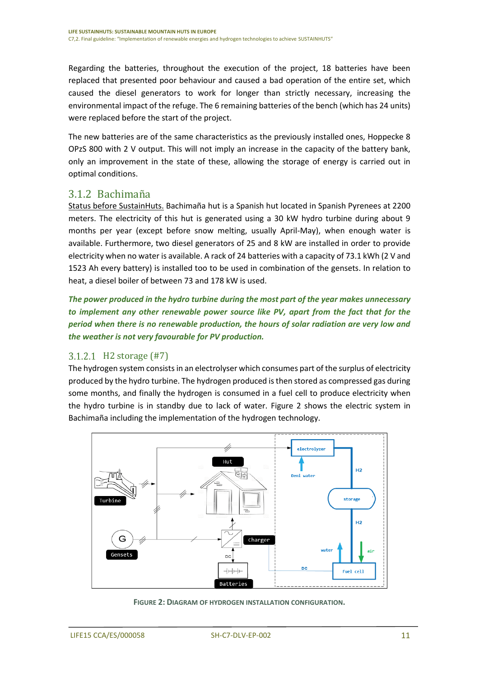Regarding the batteries, throughout the execution of the project, 18 batteries have been replaced that presented poor behaviour and caused a bad operation of the entire set, which caused the diesel generators to work for longer than strictly necessary, increasing the environmental impact of the refuge. The 6 remaining batteries of the bench (which has 24 units) were replaced before the start of the project.

The new batteries are of the same characteristics as the previously installed ones, Hoppecke 8 OPzS 800 with 2 V output. This will not imply an increase in the capacity of the battery bank, only an improvement in the state of these, allowing the storage of energy is carried out in optimal conditions.

#### <span id="page-10-0"></span>3.1.2 Bachimaña

Status before SustainHuts. Bachimaña hut is a Spanish hut located in Spanish Pyrenees at 2200 meters. The electricity of this hut is generated using a 30 kW hydro turbine during about 9 months per year (except before snow melting, usually April-May), when enough water is available. Furthermore, two diesel generators of 25 and 8 kW are installed in order to provide electricity when no water is available. A rack of 24 batteries with a capacity of 73.1 kWh (2 V and 1523 Ah every battery) is installed too to be used in combination of the gensets. In relation to heat, a diesel boiler of between 73 and 178 kW is used.

*The power produced in the hydro turbine during the most part of the year makes unnecessary to implement any other renewable power source like PV, apart from the fact that for the period when there is no renewable production, the hours of solar radiation are very low and the weather is not very favourable for PV production.*

#### <span id="page-10-1"></span>3.1.2.1 H2 storage (#7)

The hydrogen system consists in an electrolyser which consumes part of the surplus of electricity produced by the hydro turbine. The hydrogen produced is then stored as compressed gas during some months, and finally the hydrogen is consumed in a fuel cell to produce electricity when the hydro turbine is in standby due to lack of water. [Figure 2](#page-10-2) shows the electric system in Bachimaña including the implementation of the hydrogen technology.



<span id="page-10-2"></span>**FIGURE 2: DIAGRAM OF HYDROGEN INSTALLATION CONFIGURATION.**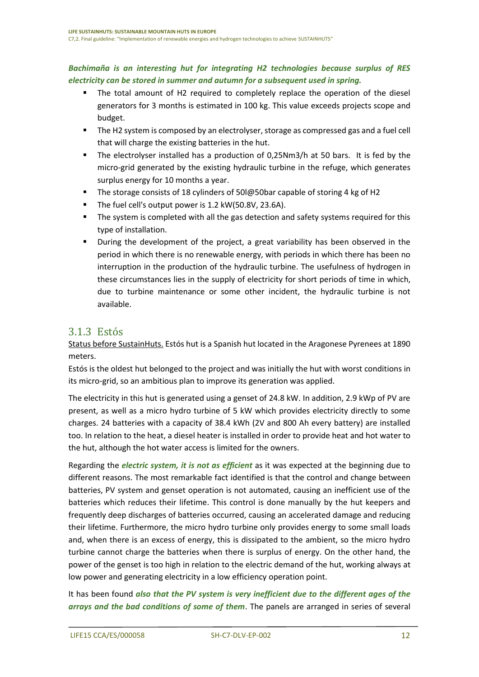#### *Bachimaña is an interesting hut for integrating H2 technologies because surplus of RES electricity can be stored in summer and autumn for a subsequent used in spring.*

- The total amount of H2 required to completely replace the operation of the diesel generators for 3 months is estimated in 100 kg. This value exceeds projects scope and budget.
- The H2 system is composed by an electrolyser, storage as compressed gas and a fuel cell that will charge the existing batteries in the hut.
- The electrolyser installed has a production of 0,25Nm3/h at 50 bars. It is fed by the micro-grid generated by the existing hydraulic turbine in the refuge, which generates surplus energy for 10 months a year.
- The storage consists of 18 cylinders of 50l@50bar capable of storing 4 kg of H2
- The fuel cell's output power is 1.2 kW(50.8V, 23.6A).
- **■** The system is completed with all the gas detection and safety systems required for this type of installation.
- During the development of the project, a great variability has been observed in the period in which there is no renewable energy, with periods in which there has been no interruption in the production of the hydraulic turbine. The usefulness of hydrogen in these circumstances lies in the supply of electricity for short periods of time in which, due to turbine maintenance or some other incident, the hydraulic turbine is not available.

#### <span id="page-11-0"></span>3.1.3 Estós

Status before SustainHuts. Estós hut is a Spanish hut located in the Aragonese Pyrenees at 1890 meters.

Estós is the oldest hut belonged to the project and was initially the hut with worst conditions in its micro-grid, so an ambitious plan to improve its generation was applied.

The electricity in this hut is generated using a genset of 24.8 kW. In addition, 2.9 kWp of PV are present, as well as a micro hydro turbine of 5 kW which provides electricity directly to some charges. 24 batteries with a capacity of 38.4 kWh (2V and 800 Ah every battery) are installed too. In relation to the heat, a diesel heater is installed in order to provide heat and hot water to the hut, although the hot water access is limited for the owners.

Regarding the *electric system, it is not as efficient* as it was expected at the beginning due to different reasons. The most remarkable fact identified is that the control and change between batteries, PV system and genset operation is not automated, causing an inefficient use of the batteries which reduces their lifetime. This control is done manually by the hut keepers and frequently deep discharges of batteries occurred, causing an accelerated damage and reducing their lifetime. Furthermore, the micro hydro turbine only provides energy to some small loads and, when there is an excess of energy, this is dissipated to the ambient, so the micro hydro turbine cannot charge the batteries when there is surplus of energy. On the other hand, the power of the genset is too high in relation to the electric demand of the hut, working always at low power and generating electricity in a low efficiency operation point.

It has been found *also that the PV system is very inefficient due to the different ages of the arrays and the bad conditions of some of them*. The panels are arranged in series of several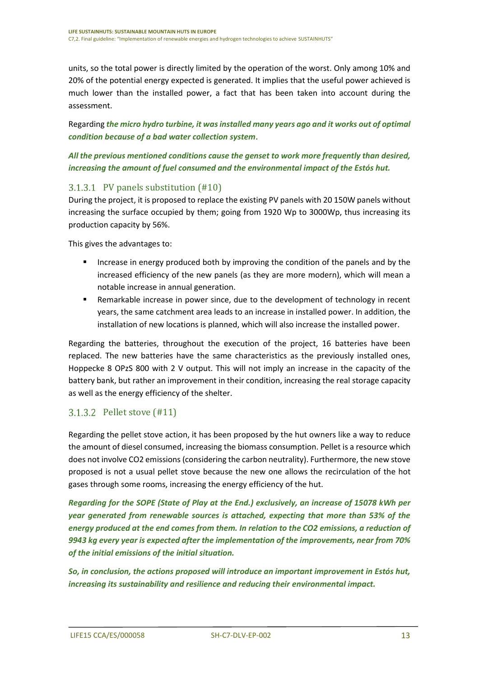units, so the total power is directly limited by the operation of the worst. Only among 10% and 20% of the potential energy expected is generated. It implies that the useful power achieved is much lower than the installed power, a fact that has been taken into account during the assessment.

Regarding *the micro hydro turbine, it was installed many years ago and it works out of optimal condition because of a bad water collection system*.

*All the previous mentioned conditions cause the genset to work more frequently than desired, increasing the amount of fuel consumed and the environmental impact of the Estós hut.*

#### <span id="page-12-0"></span>PV panels substitution (#10)

During the project, it is proposed to replace the existing PV panels with 20 150W panels without increasing the surface occupied by them; going from 1920 Wp to 3000Wp, thus increasing its production capacity by 56%.

This gives the advantages to:

- Increase in energy produced both by improving the condition of the panels and by the increased efficiency of the new panels (as they are more modern), which will mean a notable increase in annual generation.
- Remarkable increase in power since, due to the development of technology in recent years, the same catchment area leads to an increase in installed power. In addition, the installation of new locations is planned, which will also increase the installed power.

Regarding the batteries, throughout the execution of the project, 16 batteries have been replaced. The new batteries have the same characteristics as the previously installed ones, Hoppecke 8 OPzS 800 with 2 V output. This will not imply an increase in the capacity of the battery bank, but rather an improvement in their condition, increasing the real storage capacity as well as the energy efficiency of the shelter.

#### <span id="page-12-1"></span>3.1.3.2 Pellet stove (#11)

Regarding the pellet stove action, it has been proposed by the hut owners like a way to reduce the amount of diesel consumed, increasing the biomass consumption. Pellet is a resource which does not involve CO2 emissions (considering the carbon neutrality). Furthermore, the new stove proposed is not a usual pellet stove because the new one allows the recirculation of the hot gases through some rooms, increasing the energy efficiency of the hut.

*Regarding for the SOPE (State of Play at the End.) exclusively, an increase of 15078 kWh per year generated from renewable sources is attached, expecting that more than 53% of the energy produced at the end comes from them. In relation to the CO2 emissions, a reduction of 9943 kg every year is expected after the implementation of the improvements, near from 70% of the initial emissions of the initial situation.* 

*So, in conclusion, the actions proposed will introduce an important improvement in Estós hut, increasing its sustainability and resilience and reducing their environmental impact.*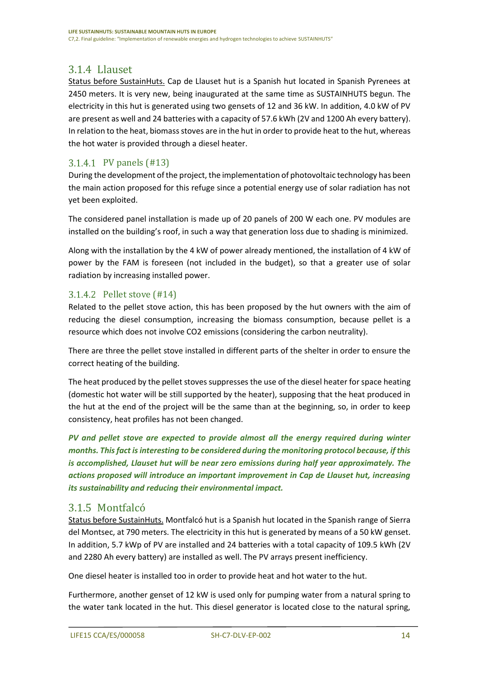### <span id="page-13-0"></span>3.1.4 Llauset

Status before SustainHuts. Cap de Llauset hut is a Spanish hut located in Spanish Pyrenees at 2450 meters. It is very new, being inaugurated at the same time as SUSTAINHUTS begun. The electricity in this hut is generated using two gensets of 12 and 36 kW. In addition, 4.0 kW of PV are present as well and 24 batteries with a capacity of 57.6 kWh (2V and 1200 Ah every battery). In relation to the heat, biomass stoves are in the hut in order to provide heat to the hut, whereas the hot water is provided through a diesel heater.

#### <span id="page-13-1"></span>3.1.4.1 PV panels (#13)

During the development of the project, the implementation of photovoltaic technology has been the main action proposed for this refuge since a potential energy use of solar radiation has not yet been exploited.

The considered panel installation is made up of 20 panels of 200 W each one. PV modules are installed on the building's roof, in such a way that generation loss due to shading is minimized.

Along with the installation by the 4 kW of power already mentioned, the installation of 4 kW of power by the FAM is foreseen (not included in the budget), so that a greater use of solar radiation by increasing installed power.

#### <span id="page-13-2"></span>3.1.4.2 Pellet stove (#14)

Related to the pellet stove action, this has been proposed by the hut owners with the aim of reducing the diesel consumption, increasing the biomass consumption, because pellet is a resource which does not involve CO2 emissions (considering the carbon neutrality).

There are three the pellet stove installed in different parts of the shelter in order to ensure the correct heating of the building.

The heat produced by the pellet stoves suppresses the use of the diesel heater for space heating (domestic hot water will be still supported by the heater), supposing that the heat produced in the hut at the end of the project will be the same than at the beginning, so, in order to keep consistency, heat profiles has not been changed.

*PV and pellet stove are expected to provide almost all the energy required during winter months. This fact is interesting to be considered during the monitoring protocol because, if this is accomplished, Llauset hut will be near zero emissions during half year approximately. The actions proposed will introduce an important improvement in Cap de Llauset hut, increasing its sustainability and reducing their environmental impact.*

#### <span id="page-13-3"></span>3.1.5 Montfalcó

Status before SustainHuts. Montfalcó hut is a Spanish hut located in the Spanish range of Sierra del Montsec, at 790 meters. The electricity in this hut is generated by means of a 50 kW genset. In addition, 5.7 kWp of PV are installed and 24 batteries with a total capacity of 109.5 kWh (2V and 2280 Ah every battery) are installed as well. The PV arrays present inefficiency.

One diesel heater is installed too in order to provide heat and hot water to the hut.

Furthermore, another genset of 12 kW is used only for pumping water from a natural spring to the water tank located in the hut. This diesel generator is located close to the natural spring,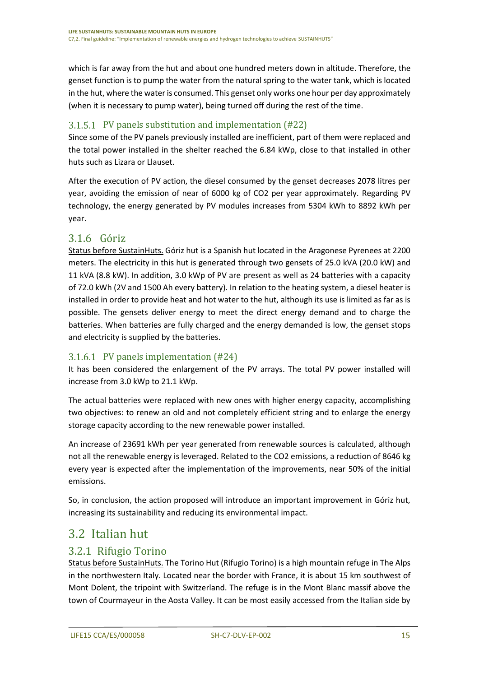which is far away from the hut and about one hundred meters down in altitude. Therefore, the genset function is to pump the water from the natural spring to the water tank, which is located in the hut, where the water is consumed. This genset only works one hour per day approximately (when it is necessary to pump water), being turned off during the rest of the time.

#### <span id="page-14-0"></span>PV panels substitution and implementation (#22)

Since some of the PV panels previously installed are inefficient, part of them were replaced and the total power installed in the shelter reached the 6.84 kWp, close to that installed in other huts such as Lizara or Llauset.

After the execution of PV action, the diesel consumed by the genset decreases 2078 litres per year, avoiding the emission of near of 6000 kg of CO2 per year approximately. Regarding PV technology, the energy generated by PV modules increases from 5304 kWh to 8892 kWh per year.

#### <span id="page-14-1"></span>3.1.6 Góriz

Status before SustainHuts. Góriz hut is a Spanish hut located in the Aragonese Pyrenees at 2200 meters. The electricity in this hut is generated through two gensets of 25.0 kVA (20.0 kW) and 11 kVA (8.8 kW). In addition, 3.0 kWp of PV are present as well as 24 batteries with a capacity of 72.0 kWh (2V and 1500 Ah every battery). In relation to the heating system, a diesel heater is installed in order to provide heat and hot water to the hut, although its use is limited as far as is possible. The gensets deliver energy to meet the direct energy demand and to charge the batteries. When batteries are fully charged and the energy demanded is low, the genset stops and electricity is supplied by the batteries.

#### <span id="page-14-2"></span>3.1.6.1 PV panels implementation (#24)

It has been considered the enlargement of the PV arrays. The total PV power installed will increase from 3.0 kWp to 21.1 kWp.

The actual batteries were replaced with new ones with higher energy capacity, accomplishing two objectives: to renew an old and not completely efficient string and to enlarge the energy storage capacity according to the new renewable power installed.

An increase of 23691 kWh per year generated from renewable sources is calculated, although not all the renewable energy is leveraged. Related to the CO2 emissions, a reduction of 8646 kg every year is expected after the implementation of the improvements, near 50% of the initial emissions.

So, in conclusion, the action proposed will introduce an important improvement in Góriz hut, increasing its sustainability and reducing its environmental impact.

### <span id="page-14-3"></span>3.2 Italian hut

#### <span id="page-14-4"></span>3.2.1 Rifugio Torino

Status before SustainHuts. The Torino Hut (Rifugio Torino) is a high mountain refuge in The Alps in the northwestern Italy. Located near the border with France, it is about 15 km southwest of Mont Dolent, the tripoint with Switzerland. The refuge is in the Mont Blanc massif above the town of Courmayeur in the Aosta Valley. It can be most easily accessed from the Italian side by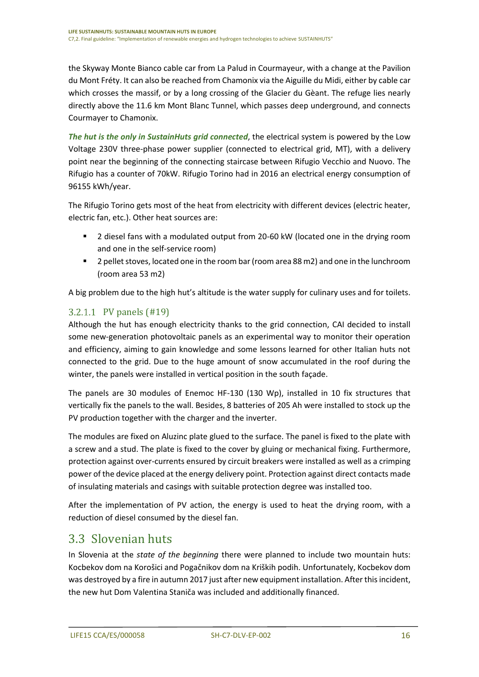the Skyway Monte Bianco cable car from La Palud in Courmayeur, with a change at the Pavilion du Mont Fréty. It can also be reached from Chamonix via the Aiguille du Midi, either by cable car which crosses the massif, or by a long crossing of the Glacier du Gèant. The refuge lies nearly directly above the 11.6 km Mont Blanc Tunnel, which passes deep underground, and connects Courmayer to Chamonix.

*The hut is the only in SustainHuts grid connected*, the electrical system is powered by the Low Voltage 230V three-phase power supplier (connected to electrical grid, MT), with a delivery point near the beginning of the connecting staircase between Rifugio Vecchio and Nuovo. The Rifugio has a counter of 70kW. Rifugio Torino had in 2016 an electrical energy consumption of 96155 kWh/year.

The Rifugio Torino gets most of the heat from electricity with different devices (electric heater, electric fan, etc.). Other heat sources are:

- 2 diesel fans with a modulated output from 20-60 kW (located one in the drying room and one in the self-service room)
- 2 pellet stoves, located one in the room bar (room area 88 m2) and one in the lunchroom (room area 53 m2)

A big problem due to the high hut's altitude is the water supply for culinary uses and for toilets.

#### <span id="page-15-0"></span>3.2.1.1 PV panels (#19)

Although the hut has enough electricity thanks to the grid connection, CAI decided to install some new-generation photovoltaic panels as an experimental way to monitor their operation and efficiency, aiming to gain knowledge and some lessons learned for other Italian huts not connected to the grid. Due to the huge amount of snow accumulated in the roof during the winter, the panels were installed in vertical position in the south façade.

The panels are 30 modules of Enemoc HF-130 (130 Wp), installed in 10 fix structures that vertically fix the panels to the wall. Besides, 8 batteries of 205 Ah were installed to stock up the PV production together with the charger and the inverter.

The modules are fixed on Aluzinc plate glued to the surface. The panel is fixed to the plate with a screw and a stud. The plate is fixed to the cover by gluing or mechanical fixing. Furthermore, protection against over-currents ensured by circuit breakers were installed as well as a crimping power of the device placed at the energy delivery point. Protection against direct contacts made of insulating materials and casings with suitable protection degree was installed too.

After the implementation of PV action, the energy is used to heat the drying room, with a reduction of diesel consumed by the diesel fan.

### <span id="page-15-1"></span>3.3 Slovenian huts

In Slovenia at the *state of the beginning* there were planned to include two mountain huts: Kocbekov dom na Korošici and Pogačnikov dom na Kriških podih. Unfortunately, Kocbekov dom was destroyed by a fire in autumn 2017 just after new equipment installation. After thisincident, the new hut Dom Valentina Staniča was included and additionally financed.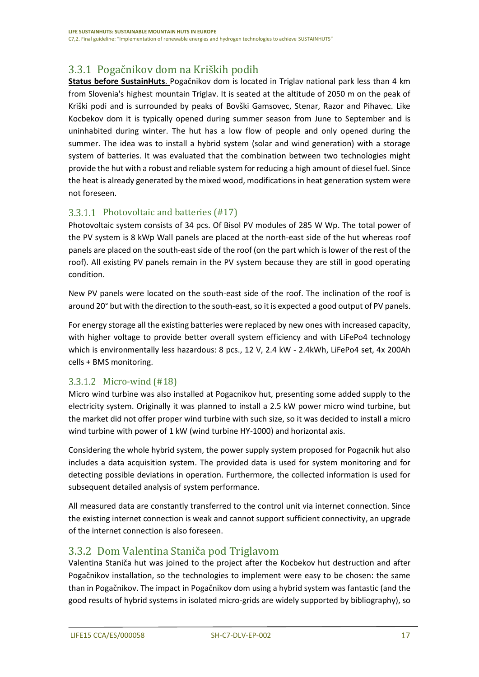### <span id="page-16-0"></span>3.3.1 Pogačnikov dom na Kriških podih

**Status before SustainHuts**. Pogačnikov dom is located in Triglav national park less than 4 km from Slovenia's highest mountain Triglav. It is seated at the altitude of 2050 m on the peak of Kriški podi and is surrounded by peaks of Bovški Gamsovec, Stenar, Razor and Pihavec. Like Kocbekov dom it is typically opened during summer season from June to September and is uninhabited during winter. The hut has a low flow of people and only opened during the summer. The idea was to install a hybrid system (solar and wind generation) with a storage system of batteries. It was evaluated that the combination between two technologies might provide the hut with a robust and reliable system for reducing a high amount of diesel fuel. Since the heat is already generated by the mixed wood, modifications in heat generation system were not foreseen.

#### <span id="page-16-1"></span>3.3.1.1 Photovoltaic and batteries  $(\text{\#17})$

Photovoltaic system consists of 34 pcs. Of Bisol PV modules of 285 W Wp. The total power of the PV system is 8 kWp Wall panels are placed at the north-east side of the hut whereas roof panels are placed on the south-east side of the roof (on the part which is lower of the rest of the roof). All existing PV panels remain in the PV system because they are still in good operating condition.

New PV panels were located on the south-east side of the roof. The inclination of the roof is around 20° but with the direction to the south-east, so it is expected a good output of PV panels.

For energy storage all the existing batteries were replaced by new ones with increased capacity, with higher voltage to provide better overall system efficiency and with LiFePo4 technology which is environmentally less hazardous: 8 pcs., 12 V, 2.4 kW - 2.4kWh, LiFePo4 set, 4x 200Ah cells + BMS monitoring.

#### <span id="page-16-2"></span>3.3.1.2 Micro-wind (#18)

Micro wind turbine was also installed at Pogacnikov hut, presenting some added supply to the electricity system. Originally it was planned to install a 2.5 kW power micro wind turbine, but the market did not offer proper wind turbine with such size, so it was decided to install a micro wind turbine with power of 1 kW (wind turbine HY-1000) and horizontal axis.

Considering the whole hybrid system, the power supply system proposed for Pogacnik hut also includes a data acquisition system. The provided data is used for system monitoring and for detecting possible deviations in operation. Furthermore, the collected information is used for subsequent detailed analysis of system performance.

All measured data are constantly transferred to the control unit via internet connection. Since the existing internet connection is weak and cannot support sufficient connectivity, an upgrade of the internet connection is also foreseen.

#### <span id="page-16-3"></span>3.3.2 Dom Valentina Staniča pod Triglavom

Valentina Staniča hut was joined to the project after the Kocbekov hut destruction and after Pogačnikov installation, so the technologies to implement were easy to be chosen: the same than in Pogačnikov. The impact in Pogačnikov dom using a hybrid system was fantastic (and the good results of hybrid systems in isolated micro-grids are widely supported by bibliography), so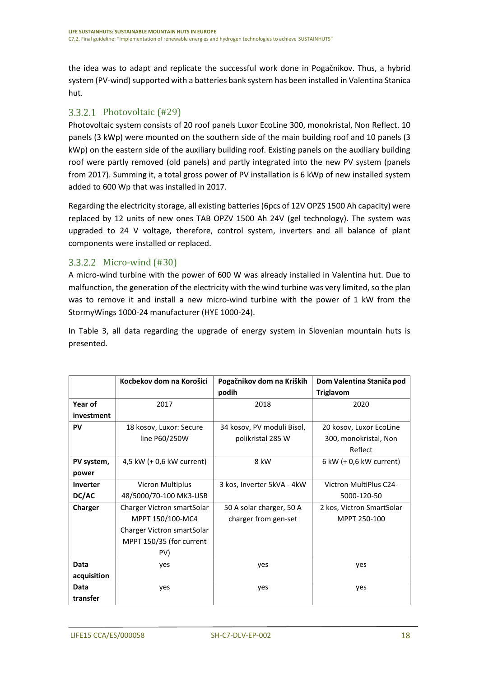the idea was to adapt and replicate the successful work done in Pogačnikov. Thus, a hybrid system (PV-wind) supported with a batteries bank system has been installed in Valentina Stanica hut.

#### <span id="page-17-0"></span>3.3.2.1 Photovoltaic (#29)

Photovoltaic system consists of 20 roof panels Luxor EcoLine 300, monokristal, Non Reflect. 10 panels (3 kWp) were mounted on the southern side of the main building roof and 10 panels (3 kWp) on the eastern side of the auxiliary building roof. Existing panels on the auxiliary building roof were partly removed (old panels) and partly integrated into the new PV system (panels from 2017). Summing it, a total gross power of PV installation is 6 kWp of new installed system added to 600 Wp that was installed in 2017.

Regarding the electricity storage, all existing batteries (6pcs of 12V OPZS 1500 Ah capacity) were replaced by 12 units of new ones TAB OPZV 1500 Ah 24V (gel technology). The system was upgraded to 24 V voltage, therefore, control system, inverters and all balance of plant components were installed or replaced.

#### <span id="page-17-1"></span>3.3.2.2 Micro-wind (#30)

A micro-wind turbine with the power of 600 W was already installed in Valentina hut. Due to malfunction, the generation of the electricity with the wind turbine was very limited, so the plan was to remove it and install a new micro-wind turbine with the power of 1 kW from the StormyWings 1000-24 manufacturer (HYE 1000-24).

In [Table 3,](#page-18-3) all data regarding the upgrade of energy system in Slovenian mountain huts is presented.

|             | Kocbekov dom na Korošici   | Pogačnikov dom na Kriških  | Dom Valentina Staniča pod |
|-------------|----------------------------|----------------------------|---------------------------|
|             |                            | podih                      | <b>Triglavom</b>          |
| Year of     | 2017                       | 2018                       | 2020                      |
| investment  |                            |                            |                           |
| <b>PV</b>   | 18 kosov, Luxor: Secure    | 34 kosov, PV moduli Bisol, | 20 kosov, Luxor EcoLine   |
|             | line P60/250W              | polikristal 285 W          | 300, monokristal, Non     |
|             |                            |                            | Reflect                   |
| PV system,  | 4,5 kW (+ 0,6 kW current)  | 8 kW                       | 6 kW (+ 0,6 kW current)   |
| power       |                            |                            |                           |
| Inverter    | Vicron Multiplus           | 3 kos, Inverter 5kVA - 4kW | Victron MultiPlus C24-    |
| DC/AC       | 48/5000/70-100 MK3-USB     |                            | 5000-120-50               |
| Charger     | Charger Victron smartSolar | 50 A solar charger, 50 A   | 2 kos, Victron SmartSolar |
|             | MPPT 150/100-MC4           | charger from gen-set       | MPPT 250-100              |
|             | Charger Victron smartSolar |                            |                           |
|             | MPPT 150/35 (for current   |                            |                           |
|             | PV)                        |                            |                           |
| Data        | yes                        | yes                        | yes                       |
| acquisition |                            |                            |                           |
| Data        | yes                        | yes                        | yes                       |
| transfer    |                            |                            |                           |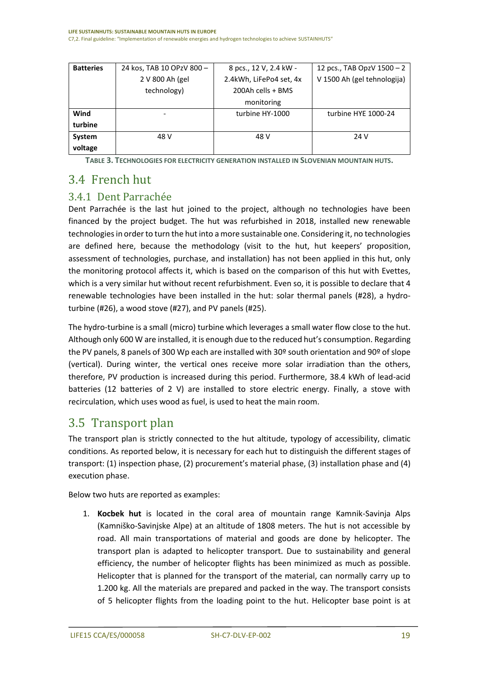| <b>Batteries</b> | 24 kos, TAB 10 OPzV 800 - | 8 pcs., 12 V, 2.4 kW -  | 12 pcs., TAB OpzV $1500 - 2$ |
|------------------|---------------------------|-------------------------|------------------------------|
|                  | 2 V 800 Ah (gel           | 2.4kWh, LiFePo4 set, 4x | V 1500 Ah (gel tehnologija)  |
|                  | technology)               | 200Ah cells + BMS       |                              |
|                  |                           | monitoring              |                              |
| Wind             |                           | turbine HY-1000         | turbine HYE 1000-24          |
| turbine          |                           |                         |                              |
| System           | 48 V                      | 48 V                    | 24 V                         |
| voltage          |                           |                         |                              |

**TABLE 3. TECHNOLOGIES FOR ELECTRICITY GENERATION INSTALLED IN SLOVENIAN MOUNTAIN HUTS.**

## <span id="page-18-3"></span><span id="page-18-0"></span>3.4 French hut

#### <span id="page-18-1"></span>3.4.1 Dent Parrachée

Dent Parrachée is the last hut joined to the project, although no technologies have been financed by the project budget. The hut was refurbished in 2018, installed new renewable technologies in order to turn the hut into a more sustainable one. Considering it, no technologies are defined here, because the methodology (visit to the hut, hut keepers' proposition, assessment of technologies, purchase, and installation) has not been applied in this hut, only the monitoring protocol affects it, which is based on the comparison of this hut with Evettes, which is a very similar hut without recent refurbishment. Even so, it is possible to declare that 4 renewable technologies have been installed in the hut: solar thermal panels (#28), a hydroturbine (#26), a wood stove (#27), and PV panels (#25).

The hydro-turbine is a small (micro) turbine which leverages a small water flow close to the hut. Although only 600 W are installed, it is enough due to the reduced hut's consumption. Regarding the PV panels, 8 panels of 300 Wp each are installed with 30º south orientation and 90º of slope (vertical). During winter, the vertical ones receive more solar irradiation than the others, therefore, PV production is increased during this period. Furthermore, 38.4 kWh of lead-acid batteries (12 batteries of 2 V) are installed to store electric energy. Finally, a stove with recirculation, which uses wood as fuel, is used to heat the main room.

### <span id="page-18-2"></span>3.5 Transport plan

The transport plan is strictly connected to the hut altitude, typology of accessibility, climatic conditions. As reported below, it is necessary for each hut to distinguish the different stages of transport: (1) inspection phase, (2) procurement's material phase, (3) installation phase and (4) execution phase.

Below two huts are reported as examples:

1. **Kocbek hut** is located in the coral area of mountain range Kamnik-Savinja Alps (Kamniško-Savinjske Alpe) at an altitude of 1808 meters. The hut is not accessible by road. All main transportations of material and goods are done by helicopter. The transport plan is adapted to helicopter transport. Due to sustainability and general efficiency, the number of helicopter flights has been minimized as much as possible. Helicopter that is planned for the transport of the material, can normally carry up to 1.200 kg. All the materials are prepared and packed in the way. The transport consists of 5 helicopter flights from the loading point to the hut. Helicopter base point is at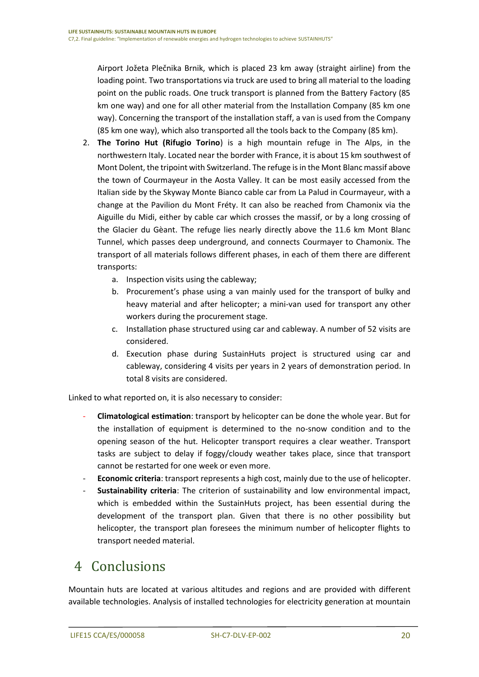Airport Jožeta Plečnika Brnik, which is placed 23 km away (straight airline) from the loading point. Two transportations via truck are used to bring all material to the loading point on the public roads. One truck transport is planned from the Battery Factory (85 km one way) and one for all other material from the Installation Company (85 km one way). Concerning the transport of the installation staff, a van is used from the Company (85 km one way), which also transported all the tools back to the Company (85 km).

- 2. **The Torino Hut (Rifugio Torino**) is a high mountain refuge in The Alps, in the northwestern Italy. Located near the border with France, it is about 15 km southwest of Mont Dolent, the tripoint with Switzerland. The refuge is in the Mont Blanc massif above the town of Courmayeur in the Aosta Valley. It can be most easily accessed from the Italian side by the Skyway Monte Bianco cable car from La Palud in Courmayeur, with a change at the Pavilion du Mont Fréty. It can also be reached from Chamonix via the Aiguille du Midi, either by cable car which crosses the massif, or by a long crossing of the Glacier du Gèant. The refuge lies nearly directly above the 11.6 km Mont Blanc Tunnel, which passes deep underground, and connects Courmayer to Chamonix. The transport of all materials follows different phases, in each of them there are different transports:
	- a. Inspection visits using the cableway;
	- b. Procurement's phase using a van mainly used for the transport of bulky and heavy material and after helicopter; a mini-van used for transport any other workers during the procurement stage.
	- c. Installation phase structured using car and cableway. A number of 52 visits are considered.
	- d. Execution phase during SustainHuts project is structured using car and cableway, considering 4 visits per years in 2 years of demonstration period. In total 8 visits are considered.

Linked to what reported on, it is also necessary to consider:

- **Climatological estimation**: transport by helicopter can be done the whole year. But for the installation of equipment is determined to the no-snow condition and to the opening season of the hut. Helicopter transport requires a clear weather. Transport tasks are subject to delay if foggy/cloudy weather takes place, since that transport cannot be restarted for one week or even more.
- **Economic criteria**: transport represents a high cost, mainly due to the use of helicopter.
- **Sustainability criteria**: The criterion of sustainability and low environmental impact, which is embedded within the SustainHuts project, has been essential during the development of the transport plan. Given that there is no other possibility but helicopter, the transport plan foresees the minimum number of helicopter flights to transport needed material.

## <span id="page-19-0"></span>4 Conclusions

Mountain huts are located at various altitudes and regions and are provided with different available technologies. Analysis of installed technologies for electricity generation at mountain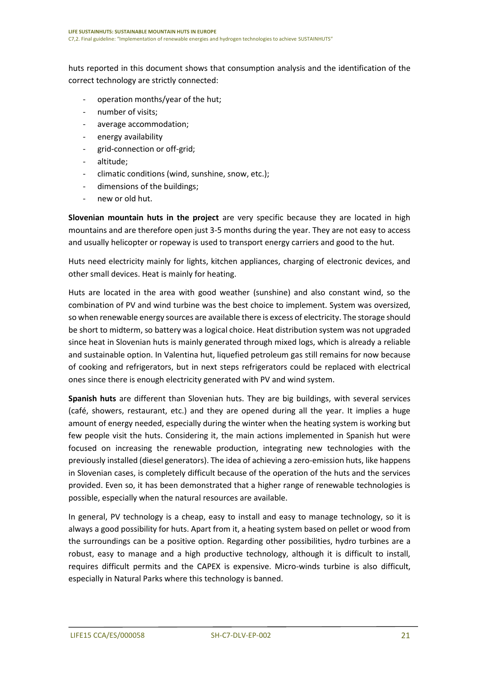huts reported in this document shows that consumption analysis and the identification of the correct technology are strictly connected:

- operation months/year of the hut;
- number of visits;
- average accommodation;
- energy availability
- grid-connection or off-grid;
- altitude;
- climatic conditions (wind, sunshine, snow, etc.);
- dimensions of the buildings;
- new or old hut.

**Slovenian mountain huts in the project** are very specific because they are located in high mountains and are therefore open just 3-5 months during the year. They are not easy to access and usually helicopter or ropeway is used to transport energy carriers and good to the hut.

Huts need electricity mainly for lights, kitchen appliances, charging of electronic devices, and other small devices. Heat is mainly for heating.

Huts are located in the area with good weather (sunshine) and also constant wind, so the combination of PV and wind turbine was the best choice to implement. System was oversized, so when renewable energy sources are available there is excess of electricity. The storage should be short to midterm, so battery was a logical choice. Heat distribution system was not upgraded since heat in Slovenian huts is mainly generated through mixed logs, which is already a reliable and sustainable option. In Valentina hut, liquefied petroleum gas still remains for now because of cooking and refrigerators, but in next steps refrigerators could be replaced with electrical ones since there is enough electricity generated with PV and wind system.

**Spanish huts** are different than Slovenian huts. They are big buildings, with several services (café, showers, restaurant, etc.) and they are opened during all the year. It implies a huge amount of energy needed, especially during the winter when the heating system is working but few people visit the huts. Considering it, the main actions implemented in Spanish hut were focused on increasing the renewable production, integrating new technologies with the previously installed (diesel generators). The idea of achieving a zero-emission huts, like happens in Slovenian cases, is completely difficult because of the operation of the huts and the services provided. Even so, it has been demonstrated that a higher range of renewable technologies is possible, especially when the natural resources are available.

In general, PV technology is a cheap, easy to install and easy to manage technology, so it is always a good possibility for huts. Apart from it, a heating system based on pellet or wood from the surroundings can be a positive option. Regarding other possibilities, hydro turbines are a robust, easy to manage and a high productive technology, although it is difficult to install, requires difficult permits and the CAPEX is expensive. Micro-winds turbine is also difficult, especially in Natural Parks where this technology is banned.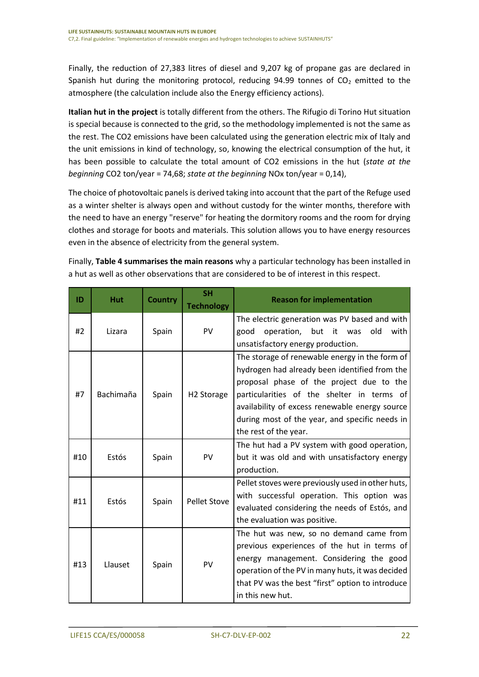Finally, the reduction of 27,383 litres of diesel and 9,207 kg of propane gas are declared in Spanish hut during the monitoring protocol, reducing 94.99 tonnes of  $CO<sub>2</sub>$  emitted to the atmosphere (the calculation include also the Energy efficiency actions).

**Italian hut in the project** is totally different from the others. The Rifugio di Torino Hut situation is special because is connected to the grid, so the methodology implemented is not the same as the rest. The CO2 emissions have been calculated using the generation electric mix of Italy and the unit emissions in kind of technology, so, knowing the electrical consumption of the hut, it has been possible to calculate the total amount of CO2 emissions in the hut (*state at the beginning* CO2 ton/year = 74,68; *state at the beginning* NOx ton/year = 0,14),

The choice of photovoltaic panels is derived taking into account that the part of the Refuge used as a winter shelter is always open and without custody for the winter months, therefore with the need to have an energy "reserve" for heating the dormitory rooms and the room for drying clothes and storage for boots and materials. This solution allows you to have energy resources even in the absence of electricity from the general system.

| ID  | <b>Hut</b> | <b>Country</b> | <b>SH</b><br><b>Technology</b> | <b>Reason for implementation</b>                                                                                                                                                                                                                                                                                       |
|-----|------------|----------------|--------------------------------|------------------------------------------------------------------------------------------------------------------------------------------------------------------------------------------------------------------------------------------------------------------------------------------------------------------------|
| #2  | Lizara     | Spain          | PV                             | The electric generation was PV based and with<br>operation, but it<br>with<br>good<br>old<br>was<br>unsatisfactory energy production.                                                                                                                                                                                  |
| #7  | Bachimaña  | Spain          | H <sub>2</sub> Storage         | The storage of renewable energy in the form of<br>hydrogen had already been identified from the<br>proposal phase of the project due to the<br>particularities of the shelter in terms of<br>availability of excess renewable energy source<br>during most of the year, and specific needs in<br>the rest of the year. |
| #10 | Estós      | Spain          | PV                             | The hut had a PV system with good operation,<br>but it was old and with unsatisfactory energy<br>production.                                                                                                                                                                                                           |
| #11 | Estós      | Spain          | <b>Pellet Stove</b>            | Pellet stoves were previously used in other huts,<br>with successful operation. This option was<br>evaluated considering the needs of Estós, and<br>the evaluation was positive.                                                                                                                                       |
| #13 | Llauset    | Spain          | PV                             | The hut was new, so no demand came from<br>previous experiences of the hut in terms of<br>energy management. Considering the good<br>operation of the PV in many huts, it was decided<br>that PV was the best "first" option to introduce<br>in this new hut.                                                          |

Finally, **[Table 4](#page-23-0) summarises the main reasons** why a particular technology has been installed in a hut as well as other observations that are considered to be of interest in this respect.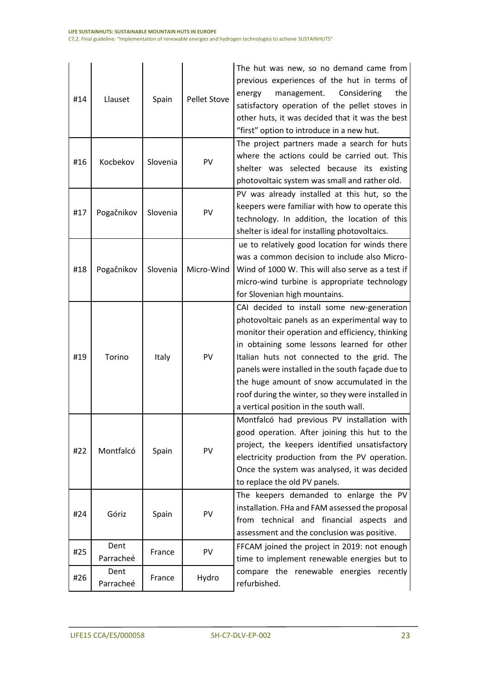| #14 | Llauset           | Spain    | <b>Pellet Stove</b> | The hut was new, so no demand came from<br>previous experiences of the hut in terms of<br>management.<br>Considering<br>the<br>energy<br>satisfactory operation of the pellet stoves in<br>other huts, it was decided that it was the best<br>"first" option to introduce in a new hut.                                                                                                                                                        |
|-----|-------------------|----------|---------------------|------------------------------------------------------------------------------------------------------------------------------------------------------------------------------------------------------------------------------------------------------------------------------------------------------------------------------------------------------------------------------------------------------------------------------------------------|
| #16 | Kocbekov          | Slovenia | PV                  | The project partners made a search for huts<br>where the actions could be carried out. This<br>shelter was selected because its existing<br>photovoltaic system was small and rather old.                                                                                                                                                                                                                                                      |
| #17 | Pogačnikov        | Slovenia | PV                  | PV was already installed at this hut, so the<br>keepers were familiar with how to operate this<br>technology. In addition, the location of this<br>shelter is ideal for installing photovoltaics.                                                                                                                                                                                                                                              |
| #18 | Pogačnikov        | Slovenia | Micro-Wind          | ue to relatively good location for winds there<br>was a common decision to include also Micro-<br>Wind of 1000 W. This will also serve as a test if<br>micro-wind turbine is appropriate technology<br>for Slovenian high mountains.                                                                                                                                                                                                           |
| #19 | Torino            | Italy    | PV                  | CAI decided to install some new-generation<br>photovoltaic panels as an experimental way to<br>monitor their operation and efficiency, thinking<br>in obtaining some lessons learned for other<br>Italian huts not connected to the grid. The<br>panels were installed in the south façade due to<br>the huge amount of snow accumulated in the<br>roof during the winter, so they were installed in<br>a vertical position in the south wall. |
| #22 | Montfalcó         | Spain    | PV                  | Montfalcó had previous PV installation with<br>good operation. After joining this hut to the<br>project, the keepers identified unsatisfactory<br>electricity production from the PV operation.<br>Once the system was analysed, it was decided<br>to replace the old PV panels.                                                                                                                                                               |
| #24 | Góriz             | Spain    | PV                  | The keepers demanded to enlarge the PV<br>installation. FHa and FAM assessed the proposal<br>from technical and financial<br>aspects and<br>assessment and the conclusion was positive.                                                                                                                                                                                                                                                        |
| #25 | Dent<br>Parracheé | France   | PV                  | FFCAM joined the project in 2019: not enough<br>time to implement renewable energies but to                                                                                                                                                                                                                                                                                                                                                    |
| #26 | Dent<br>Parracheé | France   | Hydro               | compare the renewable energies recently<br>refurbished.                                                                                                                                                                                                                                                                                                                                                                                        |